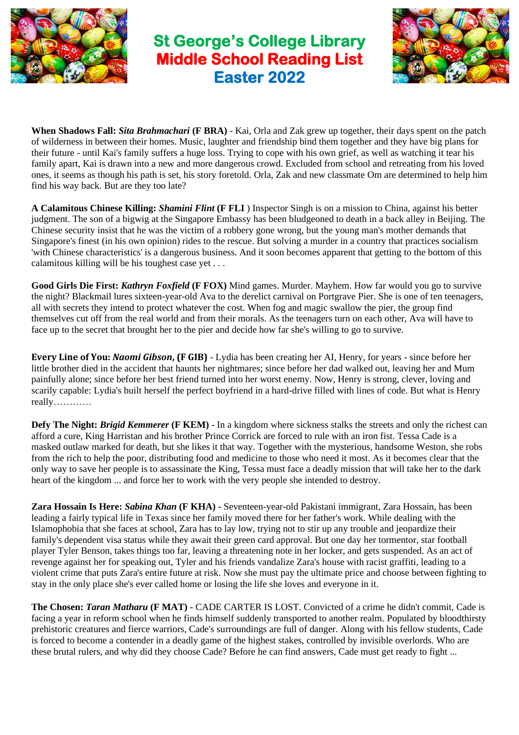

## **St George's College Library Middle School Reading List Easter 2022**



**When Shadows Fall:** *Sita Brahmachari* **(F BRA)** - Kai, Orla and Zak grew up together, their days spent on the patch of wilderness in between their homes. Music, laughter and friendship bind them together and they have big plans for their future - until Kai's family suffers a huge loss. Trying to cope with his own grief, as well as watching it tear his family apart, Kai is drawn into a new and more dangerous crowd. Excluded from school and retreating from his loved ones, it seems as though his path is set, his story foretold. Orla, Zak and new classmate Om are determined to help him find his way back. But are they too late?

**A Calamitous Chinese Killing:** *Shamini Flint* **(F FLI** ) Inspector Singh is on a mission to China, against his better judgment. The son of a bigwig at the Singapore Embassy has been bludgeoned to death in a back alley in Beijing. The Chinese security insist that he was the victim of a robbery gone wrong, but the young man's mother demands that Singapore's finest (in his own opinion) rides to the rescue. But solving a murder in a country that practices socialism 'with Chinese characteristics' is a dangerous business. And it soon becomes apparent that getting to the bottom of this calamitous killing will be his toughest case yet . . .

**Good Girls Die First:** *Kathryn Foxfield* **(F FOX)** Mind games. Murder. Mayhem. How far would you go to survive the night? Blackmail lures sixteen-year-old Ava to the derelict carnival on Portgrave Pier. She is one of ten teenagers, all with secrets they intend to protect whatever the cost. When fog and magic swallow the pier, the group find themselves cut off from the real world and from their morals. As the teenagers turn on each other, Ava will have to face up to the secret that brought her to the pier and decide how far she's willing to go to survive.

**Every Line of You:** *Naomi Gibson***, (F GIB)** - Lydia has been creating her AI, Henry, for years - since before her little brother died in the accident that haunts her nightmares; since before her dad walked out, leaving her and Mum painfully alone; since before her best friend turned into her worst enemy. Now, Henry is strong, clever, loving and scarily capable: Lydia's built herself the perfect boyfriend in a hard-drive filled with lines of code. But what is Henry really…………

**Defy The Night:** *Brigid Kemmerer* **(F KEM)** - In a kingdom where sickness stalks the streets and only the richest can afford a cure, King Harristan and his brother Prince Corrick are forced to rule with an iron fist. Tessa Cade is a masked outlaw marked for death, but she likes it that way. Together with the mysterious, handsome Weston, she robs from the rich to help the poor, distributing food and medicine to those who need it most. As it becomes clear that the only way to save her people is to assassinate the King, Tessa must face a deadly mission that will take her to the dark heart of the kingdom ... and force her to work with the very people she intended to destroy.

**Zara Hossain Is Here:** *Sabina Khan* **(F KHA) -** Seventeen-year-old Pakistani immigrant, Zara Hossain, has been leading a fairly typical life in Texas since her family moved there for her father's work. While dealing with the Islamophobia that she faces at school, Zara has to lay low, trying not to stir up any trouble and jeopardize their family's dependent visa status while they await their green card approval. But one day her tormentor, star football player Tyler Benson, takes things too far, leaving a threatening note in her locker, and gets suspended. As an act of revenge against her for speaking out, Tyler and his friends vandalize Zara's house with racist graffiti, leading to a violent crime that puts Zara's entire future at risk. Now she must pay the ultimate price and choose between fighting to stay in the only place she's ever called home or losing the life she loves and everyone in it.

**The Chosen:** *Taran Matharu* **(F MAT) -** CADE CARTER IS LOST. Convicted of a crime he didn't commit, Cade is facing a year in reform school when he finds himself suddenly transported to another realm. Populated by bloodthirsty prehistoric creatures and fierce warriors, Cade's surroundings are full of danger. Along with his fellow students, Cade is forced to become a contender in a deadly game of the highest stakes, controlled by invisible overlords. Who are these brutal rulers, and why did they choose Cade? Before he can find answers, Cade must get ready to fight ...